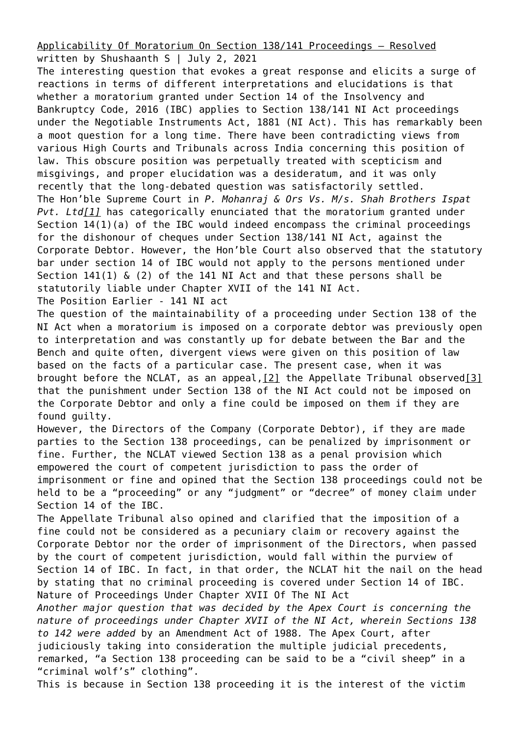[Applicability Of Moratorium On Section 138/141 Proceedings – Resolved](https://ksandk.com/litigation/applicability-of-moratorium-141-ni-act/) written by Shushaanth S | July 2, 2021

The interesting question that evokes a great response and elicits a surge of reactions in terms of different interpretations and elucidations is that whether a moratorium granted under Section 14 of the Insolvency and Bankruptcy Code, 2016 (IBC) applies to Section 138/141 NI Act proceedings under the Negotiable Instruments Act, 1881 (NI Act). This has remarkably been a moot question for a long time. There have been contradicting views from various High Courts and Tribunals across India concerning this position of law. This obscure position was perpetually treated with scepticism and misgivings, and proper elucidation was a desideratum, and it was only recently that the long-debated question was satisfactorily settled. The Hon'ble Supreme Court in *P. Mohanraj & Ors Vs. M/s. Shah Brothers Ispat Pvt. Lt[d\[1\]](#page--1-0)* has categorically enunciated that the moratorium granted under Section 14(1)(a) of the IBC would indeed encompass the criminal proceedings for the dishonour of cheques under Section 138/141 NI Act, against the Corporate Debtor. However, the Hon'ble Court also observed that the statutory bar under section 14 of IBC would not apply to the persons mentioned under Section 141(1) & (2) of the 141 NI Act and that these persons shall be statutorily liable under Chapter XVII of the 141 NI Act. The Position Earlier - 141 NI act

The question of the maintainability of a proceeding under Section 138 of the NI Act when a moratorium is imposed on a corporate debtor was previously open to interpretation and was constantly up for debate between the Bar and the Bench and quite often, divergent views were given on this position of law based on the facts of a particular case. The present case, when it was brought before the NCLAT, as an appeal,[\[2\]](#page--1-0) the Appellate Tribunal observed[\[3\]](#page--1-0) that the punishment under Section 138 of the NI Act could not be imposed on the Corporate Debtor and only a fine could be imposed on them if they are found guilty.

However, the Directors of the Company (Corporate Debtor), if they are made parties to the Section 138 proceedings, can be penalized by imprisonment or fine. Further, the NCLAT viewed Section 138 as a penal provision which empowered the court of competent jurisdiction to pass the order of imprisonment or fine and opined that the Section 138 proceedings could not be held to be a "proceeding" or any "judgment" or "decree" of money claim under Section 14 of the IBC.

The Appellate Tribunal also opined and clarified that the imposition of a fine could not be considered as a pecuniary claim or recovery against the Corporate Debtor nor the order of imprisonment of the Directors, when passed by the court of competent jurisdiction, would fall within the purview of Section 14 of IBC. In fact, in that order, the NCLAT hit the nail on the head by stating that no criminal proceeding is covered under Section 14 of IBC. Nature of Proceedings Under Chapter XVII Of The NI Act

*Another major question that was decided by the Apex Court is concerning the nature of proceedings under Chapter XVII of the NI Act, wherein Sections 138 to 142 were added* by an Amendment Act of 1988*.* The Apex Court, after judiciously taking into consideration the multiple judicial precedents, remarked, "a Section 138 proceeding can be said to be a "civil sheep" in a "criminal wolf's" clothing".

This is because in Section 138 proceeding it is the interest of the victim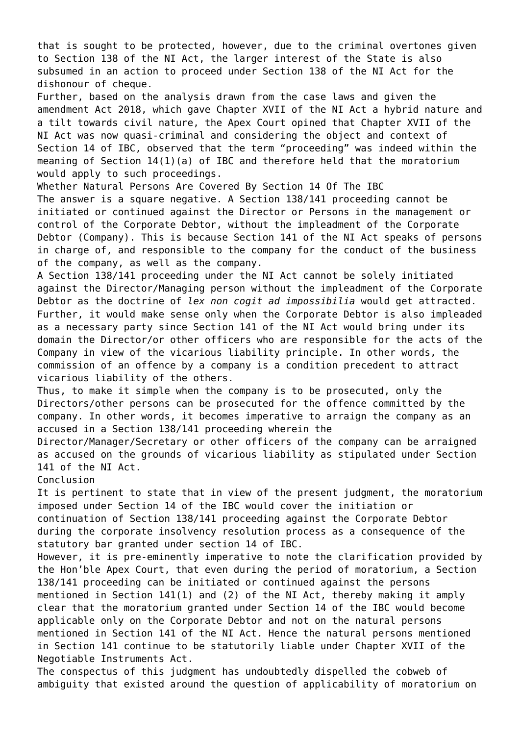that is sought to be protected, however, due to the criminal overtones given to Section 138 of the NI Act, the larger interest of the State is also subsumed in an action to proceed under Section 138 of the NI Act for the dishonour of cheque.

Further, based on the analysis drawn from the case laws and given the amendment Act 2018, which gave Chapter XVII of the NI Act a hybrid nature and a tilt towards civil nature, the Apex Court opined that Chapter XVII of the NI Act was now quasi-criminal and considering the object and context of Section 14 of IBC, observed that the term "proceeding" was indeed within the meaning of Section 14(1)(a) of IBC and therefore held that the moratorium would apply to such proceedings.

Whether Natural Persons Are Covered By Section 14 Of The IBC

The answer is a square negative. A Section 138/141 proceeding cannot be initiated or continued against the Director or Persons in the management or control of the Corporate Debtor, without the impleadment of the Corporate Debtor (Company). This is because Section 141 of the NI Act speaks of persons in charge of, and responsible to the company for the conduct of the business of the company, as well as the company.

A Section 138/141 proceeding under the NI Act cannot be solely initiated against the Director/Managing person without the impleadment of the Corporate Debtor as the doctrine of *lex non cogit ad impossibilia* would get attracted. Further, it would make sense only when the Corporate Debtor is also impleaded as a necessary party since Section 141 of the NI Act would bring under its domain the Director/or other officers who are responsible for the acts of the Company in view of the vicarious liability principle. In other words, the commission of an offence by a company is a condition precedent to attract vicarious liability of the others.

Thus, to make it simple when the company is to be prosecuted, only the Directors/other persons can be prosecuted for the offence committed by the company. In other words, it becomes imperative to arraign the company as an accused in a Section 138/141 proceeding wherein the

Director/Manager/Secretary or other officers of the company can be arraigned as accused on the grounds of vicarious liability as stipulated under Section 141 of the NI Act.

Conclusion

It is pertinent to state that in view of the present judgment, the moratorium imposed under Section 14 of the IBC would cover the initiation or continuation of Section 138/141 proceeding against the Corporate Debtor during the corporate insolvency resolution process as a consequence of the statutory bar granted under section 14 of IBC.

However, it is pre-eminently imperative to note the clarification provided by the Hon'ble Apex Court, that even during the period of moratorium, a Section 138/141 proceeding can be initiated or continued against the persons mentioned in Section  $141(1)$  and (2) of the NI Act, thereby making it amply clear that the moratorium granted under Section 14 of the IBC would become applicable only on the Corporate Debtor and not on the natural persons mentioned in Section 141 of the NI Act. Hence the natural persons mentioned in Section 141 continue to be statutorily liable under Chapter XVII of the Negotiable Instruments Act.

The conspectus of this judgment has undoubtedly dispelled the cobweb of ambiguity that existed around the question of applicability of moratorium on